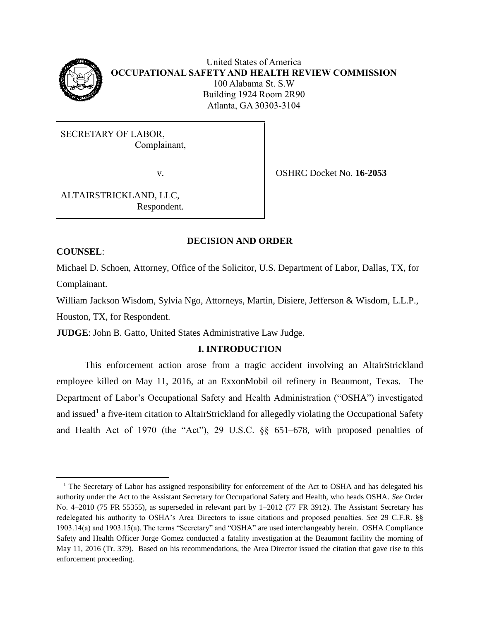

# United States of America **OCCUPATIONAL SAFETY AND HEALTH REVIEW COMMISSION** 100 Alabama St. S.W Building 1924 Room 2R90 Atlanta, GA 30303-3104

SECRETARY OF LABOR, Complainant,

v. OSHRC Docket No. **16-2053**

ALTAIRSTRICKLAND, LLC, Respondent.

# **DECISION AND ORDER**

# **COUNSEL**:

l

Michael D. Schoen, Attorney, Office of the Solicitor, U.S. Department of Labor, Dallas, TX, for Complainant.

William Jackson Wisdom, Sylvia Ngo, Attorneys, Martin, Disiere, Jefferson & Wisdom, L.L.P., Houston, TX, for Respondent.

**JUDGE**: John B. Gatto, United States Administrative Law Judge.

# **I. INTRODUCTION**

This enforcement action arose from a tragic accident involving an AltairStrickland employee killed on May 11, 2016, at an ExxonMobil oil refinery in Beaumont, Texas. The Department of Labor's Occupational Safety and Health Administration ("OSHA") investigated and issued<sup>1</sup> a five-item citation to AltairStrickland for allegedly violating the Occupational Safety and Health Act of 1970 (the "Act"), 29 U.S.C. §§ 651–678, with proposed penalties of

 $1$  The Secretary of Labor has assigned responsibility for enforcement of the Act to OSHA and has delegated his authority under the Act to the Assistant Secretary for Occupational Safety and Health, who heads OSHA. *See* Order No. 4–2010 (75 FR 55355), as superseded in relevant part by 1–2012 (77 FR 3912). The Assistant Secretary has redelegated his authority to OSHA's Area Directors to issue citations and proposed penalties. *See* 29 C.F.R. §§ 1903.14(a) and 1903.15(a). The terms "Secretary" and "OSHA" are used interchangeably herein. OSHA Compliance Safety and Health Officer Jorge Gomez conducted a fatality investigation at the Beaumont facility the morning of May 11, 2016 (Tr. 379). Based on his recommendations, the Area Director issued the citation that gave rise to this enforcement proceeding.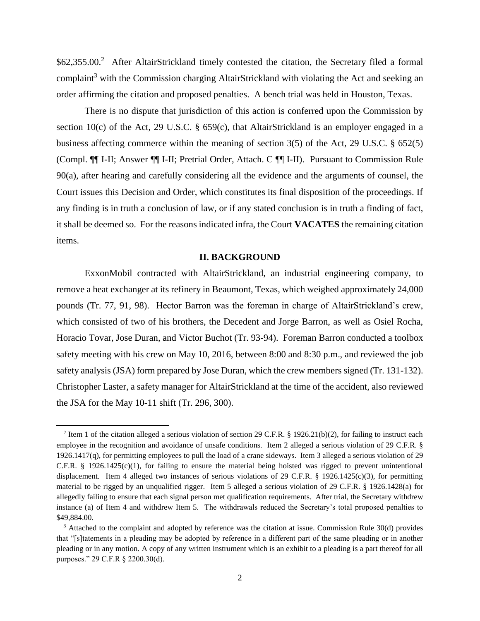\$62,355.00.<sup>2</sup> After AltairStrickland timely contested the citation, the Secretary filed a formal complaint<sup>3</sup> with the Commission charging AltairStrickland with violating the Act and seeking an order affirming the citation and proposed penalties. A bench trial was held in Houston, Texas.

There is no dispute that jurisdiction of this action is conferred upon the Commission by section 10(c) of the Act, 29 U.S.C. § 659(c), that AltairStrickland is an employer engaged in a business affecting commerce within the meaning of section 3(5) of the Act, 29 U.S.C. § 652(5) (Compl. ¶¶ I-II; Answer ¶¶ I-II; Pretrial Order, Attach. C ¶¶ I-II). Pursuant to Commission Rule 90(a), after hearing and carefully considering all the evidence and the arguments of counsel, the Court issues this Decision and Order, which constitutes its final disposition of the proceedings. If any finding is in truth a conclusion of law, or if any stated conclusion is in truth a finding of fact, it shall be deemed so. For the reasons indicated infra, the Court **VACATES** the remaining citation items.

#### **II. BACKGROUND**

ExxonMobil contracted with AltairStrickland, an industrial engineering company, to remove a heat exchanger at its refinery in Beaumont, Texas, which weighed approximately 24,000 pounds (Tr. 77, 91, 98). Hector Barron was the foreman in charge of AltairStrickland's crew, which consisted of two of his brothers, the Decedent and Jorge Barron, as well as Osiel Rocha, Horacio Tovar, Jose Duran, and Victor Buchot (Tr. 93-94). Foreman Barron conducted a toolbox safety meeting with his crew on May 10, 2016, between 8:00 and 8:30 p.m., and reviewed the job safety analysis (JSA) form prepared by Jose Duran, which the crew members signed (Tr. 131-132). Christopher Laster, a safety manager for AltairStrickland at the time of the accident, also reviewed the JSA for the May 10-11 shift (Tr. 296, 300).

 $\overline{a}$ 

<sup>&</sup>lt;sup>2</sup> Item 1 of the citation alleged a serious violation of section 29 C.F.R. § 1926.21(b)(2), for failing to instruct each employee in the recognition and avoidance of unsafe conditions. Item 2 alleged a serious violation of 29 C.F.R. § 1926.1417(q), for permitting employees to pull the load of a crane sideways. Item 3 alleged a serious violation of 29 C.F.R. § 1926.1425(c)(1), for failing to ensure the material being hoisted was rigged to prevent unintentional displacement. Item 4 alleged two instances of serious violations of 29 C.F.R. § 1926.1425(c)(3), for permitting material to be rigged by an unqualified rigger. Item 5 alleged a serious violation of 29 C.F.R. § 1926.1428(a) for allegedly failing to ensure that each signal person met qualification requirements. After trial, the Secretary withdrew instance (a) of Item 4 and withdrew Item 5. The withdrawals reduced the Secretary's total proposed penalties to \$49,884.00.

<sup>&</sup>lt;sup>3</sup> Attached to the complaint and adopted by reference was the citation at issue. Commission Rule 30(d) provides that "[s]tatements in a pleading may be adopted by reference in a different part of the same pleading or in another pleading or in any motion. A copy of any written instrument which is an exhibit to a pleading is a part thereof for all purposes." 29 C.F.R § 2200.30(d).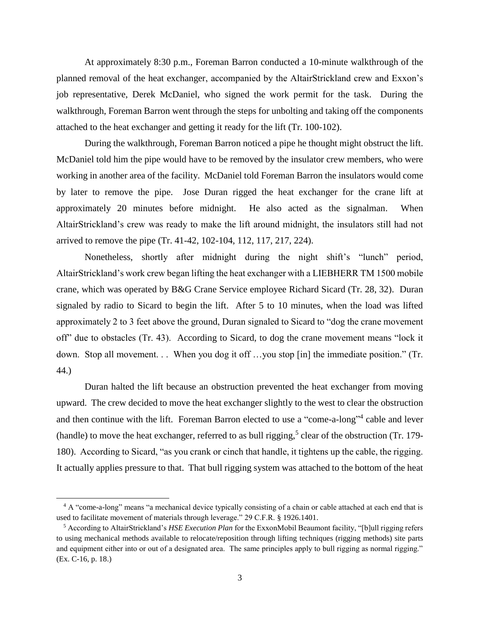At approximately 8:30 p.m., Foreman Barron conducted a 10-minute walkthrough of the planned removal of the heat exchanger, accompanied by the AltairStrickland crew and Exxon's job representative, Derek McDaniel, who signed the work permit for the task. During the walkthrough, Foreman Barron went through the steps for unbolting and taking off the components attached to the heat exchanger and getting it ready for the lift (Tr. 100-102).

During the walkthrough, Foreman Barron noticed a pipe he thought might obstruct the lift. McDaniel told him the pipe would have to be removed by the insulator crew members, who were working in another area of the facility. McDaniel told Foreman Barron the insulators would come by later to remove the pipe. Jose Duran rigged the heat exchanger for the crane lift at approximately 20 minutes before midnight. He also acted as the signalman. When AltairStrickland's crew was ready to make the lift around midnight, the insulators still had not arrived to remove the pipe (Tr. 41-42, 102-104, 112, 117, 217, 224).

Nonetheless, shortly after midnight during the night shift's "lunch" period, AltairStrickland's work crew began lifting the heat exchanger with a LIEBHERR TM 1500 mobile crane, which was operated by B&G Crane Service employee Richard Sicard (Tr. 28, 32). Duran signaled by radio to Sicard to begin the lift. After 5 to 10 minutes, when the load was lifted approximately 2 to 3 feet above the ground, Duran signaled to Sicard to "dog the crane movement off" due to obstacles (Tr. 43). According to Sicard, to dog the crane movement means "lock it down. Stop all movement. . . When you dog it off ...you stop [in] the immediate position." (Tr. 44.)

Duran halted the lift because an obstruction prevented the heat exchanger from moving upward. The crew decided to move the heat exchanger slightly to the west to clear the obstruction and then continue with the lift. Foreman Barron elected to use a "come-a-long"<sup>4</sup> cable and lever (handle) to move the heat exchanger, referred to as bull rigging,<sup>5</sup> clear of the obstruction (Tr. 179-180). According to Sicard, "as you crank or cinch that handle, it tightens up the cable, the rigging. It actually applies pressure to that. That bull rigging system was attached to the bottom of the heat

 $\overline{a}$ 

<sup>&</sup>lt;sup>4</sup> A "come-a-long" means "a mechanical device typically consisting of a chain or cable attached at each end that is used to facilitate movement of materials through leverage." 29 C.F.R. § 1926.1401.

<sup>5</sup> According to AltairStrickland's *HSE Execution Plan* for the ExxonMobil Beaumont facility, "[b]ull rigging refers to using mechanical methods available to relocate/reposition through lifting techniques (rigging methods) site parts and equipment either into or out of a designated area. The same principles apply to bull rigging as normal rigging." (Ex. C-16, p. 18.)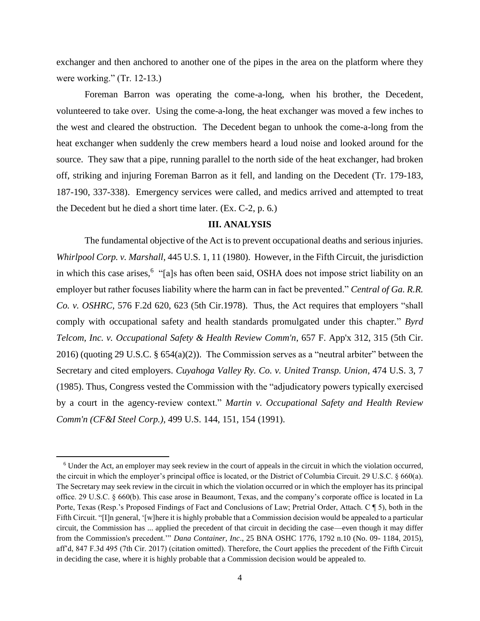exchanger and then anchored to another one of the pipes in the area on the platform where they were working." (Tr. 12-13.)

Foreman Barron was operating the come-a-long, when his brother, the Decedent, volunteered to take over. Using the come-a-long, the heat exchanger was moved a few inches to the west and cleared the obstruction. The Decedent began to unhook the come-a-long from the heat exchanger when suddenly the crew members heard a loud noise and looked around for the source. They saw that a pipe, running parallel to the north side of the heat exchanger, had broken off, striking and injuring Foreman Barron as it fell, and landing on the Decedent (Tr. 179-183, 187-190, 337-338). Emergency services were called, and medics arrived and attempted to treat the Decedent but he died a short time later. (Ex. C-2, p. 6*.*)

# **III. ANALYSIS**

The fundamental objective of the Act is to prevent occupational deaths and serious injuries. *Whirlpool Corp. v. Marshall*, 445 U.S. 1, 11 (1980). However, in the Fifth Circuit, the jurisdiction in which this case arises,<sup>6</sup> "[a]s has often been said, OSHA does not impose strict liability on an employer but rather focuses liability where the harm can in fact be prevented." *Central of Ga. R.R. Co. v. OSHRC*, 576 F.2d 620, 623 (5th Cir.1978). Thus, the Act requires that employers "shall comply with occupational safety and health standards promulgated under this chapter." *Byrd Telcom, Inc. v. Occupational Safety & Health Review Comm'n*, 657 F. App'x 312, 315 (5th Cir. 2016) (quoting 29 U.S.C. § 654(a)(2)). The Commission serves as a "neutral arbiter" between the Secretary and cited employers. *Cuyahoga Valley Ry. Co. v. United Transp. Union*, 474 U.S. 3, 7 (1985). Thus, Congress vested the Commission with the "adjudicatory powers typically exercised by a court in the agency-review context." *Martin v. Occupational Safety and Health Review Comm'n (CF&I Steel Corp.)*, 499 U.S. 144, 151, 154 (1991).

 $\overline{\phantom{a}}$ 

<sup>6</sup> Under the Act, an employer may seek review in the court of appeals in the circuit in which the violation occurred, the circuit in which the employer's principal office is located, or the District of Columbia Circuit. 29 U.S.C. § 660(a). The Secretary may seek review in the circuit in which the violation occurred or in which the employer has its principal office. 29 U.S.C. § 660(b). This case arose in Beaumont, Texas, and the company's corporate office is located in La Porte, Texas (Resp.'s Proposed Findings of Fact and Conclusions of Law; Pretrial Order, Attach. C ¶ 5), both in the Fifth Circuit. "[I]n general, '[w]here it is highly probable that a Commission decision would be appealed to a particular circuit, the Commission has ... applied the precedent of that circuit in deciding the case—even though it may differ from the Commission's precedent.'" *Dana Container, Inc*., 25 BNA OSHC 1776, 1792 n.10 (No. 09- 1184, 2015), aff'd, 847 F.3d 495 (7th Cir. 2017) (citation omitted). Therefore, the Court applies the precedent of the Fifth Circuit in deciding the case, where it is highly probable that a Commission decision would be appealed to.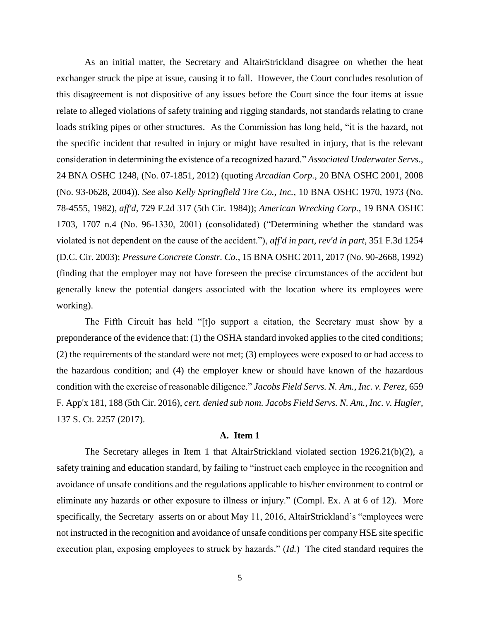As an initial matter, the Secretary and AltairStrickland disagree on whether the heat exchanger struck the pipe at issue, causing it to fall. However, the Court concludes resolution of this disagreement is not dispositive of any issues before the Court since the four items at issue relate to alleged violations of safety training and rigging standards, not standards relating to crane loads striking pipes or other structures. As the Commission has long held, "it is the hazard, not the specific incident that resulted in injury or might have resulted in injury, that is the relevant consideration in determining the existence of a recognized hazard." *Associated Underwater Servs*., 24 BNA OSHC 1248, (No. 07-1851, 2012) (quoting *Arcadian Corp.*, 20 BNA OSHC 2001, 2008 (No. 93-0628, 2004)). *See* also *Kelly Springfield Tire Co., Inc.*, 10 BNA OSHC 1970, 1973 (No. 78-4555, 1982), *aff'd*, 729 F.2d 317 (5th Cir. 1984)); *American Wrecking Corp.*, 19 BNA OSHC 1703, 1707 n.4 (No. 96-1330, 2001) (consolidated) ("Determining whether the standard was violated is not dependent on the cause of the accident."), *aff'd in part, rev'd in part*, 351 F.3d 1254 (D.C. Cir. 2003); *Pressure Concrete Constr. Co.*, 15 BNA OSHC 2011, 2017 (No. 90-2668, 1992) (finding that the employer may not have foreseen the precise circumstances of the accident but generally knew the potential dangers associated with the location where its employees were working).

The Fifth Circuit has held "[t]o support a citation, the Secretary must show by a preponderance of the evidence that: (1) the OSHA standard invoked applies to the cited conditions; (2) the requirements of the standard were not met; (3) employees were exposed to or had access to the hazardous condition; and (4) the employer knew or should have known of the hazardous condition with the exercise of reasonable diligence." *Jacobs Field Servs. N. Am., Inc. v. Perez*, 659 F. App'x 181, 188 (5th Cir. 2016), *cert. denied sub nom. Jacobs Field Servs. N. Am., Inc. v. Hugler*, 137 S. Ct. 2257 (2017).

# **A. Item 1**

The Secretary alleges in Item 1 that AltairStrickland violated section  $1926.21(b)(2)$ , a safety training and education standard, by failing to "instruct each employee in the recognition and avoidance of unsafe conditions and the regulations applicable to his/her environment to control or eliminate any hazards or other exposure to illness or injury." (Compl. Ex. A at 6 of 12). More specifically, the Secretary asserts on or about May 11, 2016, AltairStrickland's "employees were not instructed in the recognition and avoidance of unsafe conditions per company HSE site specific execution plan, exposing employees to struck by hazards." (*Id.*) The cited standard requires the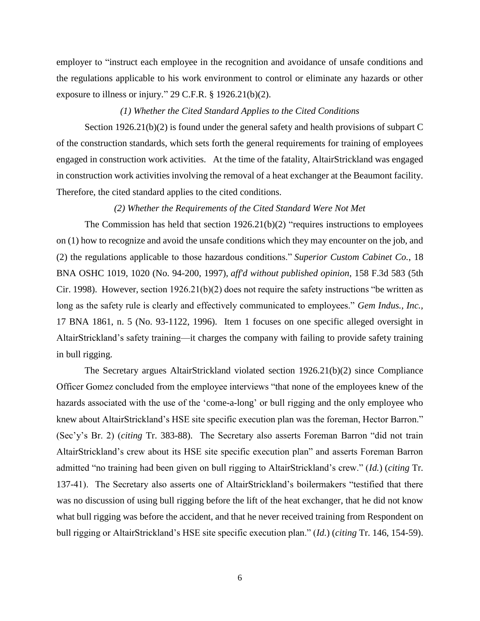employer to "instruct each employee in the recognition and avoidance of unsafe conditions and the regulations applicable to his work environment to control or eliminate any hazards or other exposure to illness or injury." 29 C.F.R. § 1926.21(b)(2).

## *(1) Whether the Cited Standard Applies to the Cited Conditions*

Section 1926.21(b)(2) is found under the general safety and health provisions of subpart C of the construction standards, which sets forth the general requirements for training of employees engaged in construction work activities. At the time of the fatality, AltairStrickland was engaged in construction work activities involving the removal of a heat exchanger at the Beaumont facility. Therefore, the cited standard applies to the cited conditions.

## *(2) Whether the Requirements of the Cited Standard Were Not Met*

The Commission has held that section 1926.21(b)(2) "requires instructions to employees on (1) how to recognize and avoid the unsafe conditions which they may encounter on the job, and (2) the regulations applicable to those hazardous conditions." *Superior Custom Cabinet Co.*, 18 BNA OSHC 1019, 1020 (No. 94-200, 1997), *aff'd without published opinion*, 158 F.3d 583 (5th Cir. 1998). However, section  $1926.21(b)(2)$  does not require the safety instructions "be written as long as the safety rule is clearly and effectively communicated to employees." *Gem Indus., Inc.,* 17 BNA 1861, n. 5 (No. 93-1122, 1996). Item 1 focuses on one specific alleged oversight in AltairStrickland's safety training—it charges the company with failing to provide safety training in bull rigging.

The Secretary argues AltairStrickland violated section 1926.21(b)(2) since Compliance Officer Gomez concluded from the employee interviews "that none of the employees knew of the hazards associated with the use of the 'come-a-long' or bull rigging and the only employee who knew about AltairStrickland's HSE site specific execution plan was the foreman, Hector Barron." (Sec'y's Br. 2) (*citing* Tr. 383-88). The Secretary also asserts Foreman Barron "did not train AltairStrickland's crew about its HSE site specific execution plan" and asserts Foreman Barron admitted "no training had been given on bull rigging to AltairStrickland's crew." (*Id.*) (*citing* Tr. 137-41). The Secretary also asserts one of AltairStrickland's boilermakers "testified that there was no discussion of using bull rigging before the lift of the heat exchanger, that he did not know what bull rigging was before the accident, and that he never received training from Respondent on bull rigging or AltairStrickland's HSE site specific execution plan." (*Id.*) (*citing* Tr. 146, 154-59).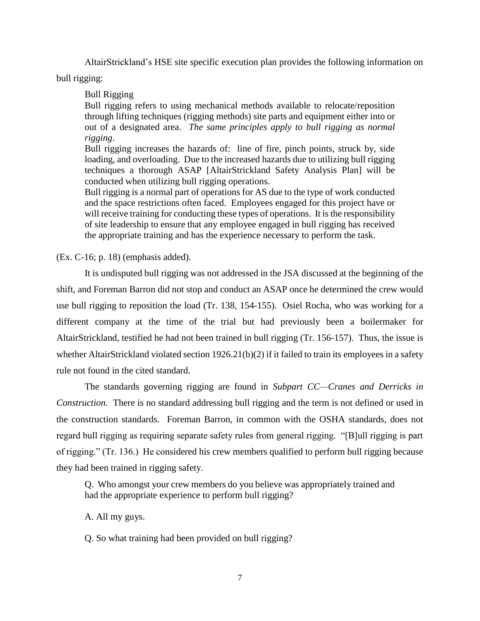AltairStrickland's HSE site specific execution plan provides the following information on

bull rigging:

Bull Rigging

Bull rigging refers to using mechanical methods available to relocate/reposition through lifting techniques (rigging methods) site parts and equipment either into or out of a designated area. *The same principles apply to bull rigging as normal rigging*.

Bull rigging increases the hazards of: line of fire, pinch points, struck by, side loading, and overloading. Due to the increased hazards due to utilizing bull rigging techniques a thorough ASAP [AltairStrickland Safety Analysis Plan] will be conducted when utilizing bull rigging operations.

Bull rigging is a normal part of operations for AS due to the type of work conducted and the space restrictions often faced. Employees engaged for this project have or will receive training for conducting these types of operations. It is the responsibility of site leadership to ensure that any employee engaged in bull rigging has received the appropriate training and has the experience necessary to perform the task.

(Ex. C-16; p. 18) (emphasis added).

It is undisputed bull rigging was not addressed in the JSA discussed at the beginning of the shift, and Foreman Barron did not stop and conduct an ASAP once he determined the crew would use bull rigging to reposition the load (Tr. 138, 154-155). Osiel Rocha, who was working for a different company at the time of the trial but had previously been a boilermaker for AltairStrickland, testified he had not been trained in bull rigging (Tr. 156-157). Thus, the issue is whether AltairStrickland violated section 1926.21(b)(2) if it failed to train its employees in a safety rule not found in the cited standard.

The standards governing rigging are found in *Subpart CC—Cranes and Derricks in Construction.* There is no standard addressing bull rigging and the term is not defined or used in the construction standards. Foreman Barron, in common with the OSHA standards, does not regard bull rigging as requiring separate safety rules from general rigging. "[B]ull rigging is part of rigging." (Tr. 136.) He considered his crew members qualified to perform bull rigging because they had been trained in rigging safety.

Q. Who amongst your crew members do you believe was appropriately trained and had the appropriate experience to perform bull rigging?

A. All my guys.

Q. So what training had been provided on bull rigging?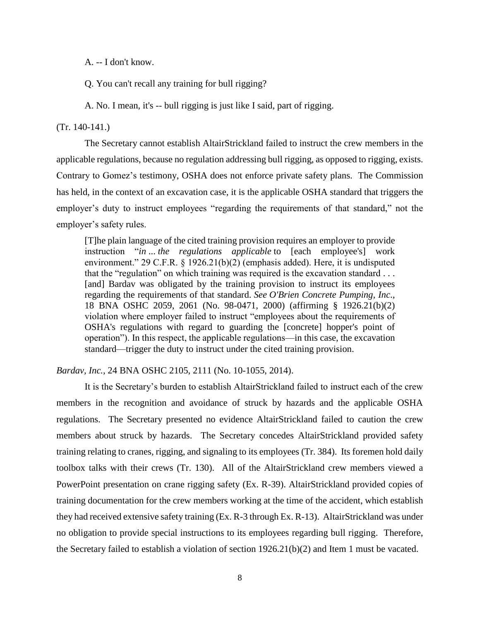A. -- I don't know.

Q. You can't recall any training for bull rigging?

A. No. I mean, it's -- bull rigging is just like I said, part of rigging.

# (Tr. 140-141.)

The Secretary cannot establish AltairStrickland failed to instruct the crew members in the applicable regulations, because no regulation addressing bull rigging, as opposed to rigging, exists. Contrary to Gomez's testimony, OSHA does not enforce private safety plans. The Commission has held, in the context of an excavation case, it is the applicable OSHA standard that triggers the employer's duty to instruct employees "regarding the requirements of that standard," not the employer's safety rules.

[T]he plain language of the cited training provision requires an employer to provide instruction "*in* ... *the regulations applicable* to [each employee's] work environment." 29 C.F.R. § 1926.21(b)(2) (emphasis added). Here, it is undisputed that the "regulation" on which training was required is the excavation standard . . . [and] Bardav was obligated by the training provision to instruct its employees regarding the requirements of that standard. *See O'Brien Concrete Pumping, Inc*., 18 BNA OSHC 2059, 2061 (No. 98-0471, 2000) (affirming § 1926.21(b)(2) violation where employer failed to instruct "employees about the requirements of OSHA's regulations with regard to guarding the [concrete] hopper's point of operation"). In this respect, the applicable regulations—in this case, the excavation standard—trigger the duty to instruct under the cited training provision.

*Bardav, Inc.,* 24 BNA OSHC 2105, 2111 (No. 10-1055, 2014).

It is the Secretary's burden to establish AltairStrickland failed to instruct each of the crew members in the recognition and avoidance of struck by hazards and the applicable OSHA regulations. The Secretary presented no evidence AltairStrickland failed to caution the crew members about struck by hazards. The Secretary concedes AltairStrickland provided safety training relating to cranes, rigging, and signaling to its employees (Tr. 384). Its foremen hold daily toolbox talks with their crews (Tr. 130). All of the AltairStrickland crew members viewed a PowerPoint presentation on crane rigging safety (Ex. R-39). AltairStrickland provided copies of training documentation for the crew members working at the time of the accident, which establish they had received extensive safety training (Ex. R-3 through Ex. R-13). AltairStrickland was under no obligation to provide special instructions to its employees regarding bull rigging. Therefore, the Secretary failed to establish a violation of section 1926.21(b)(2) and Item 1 must be vacated.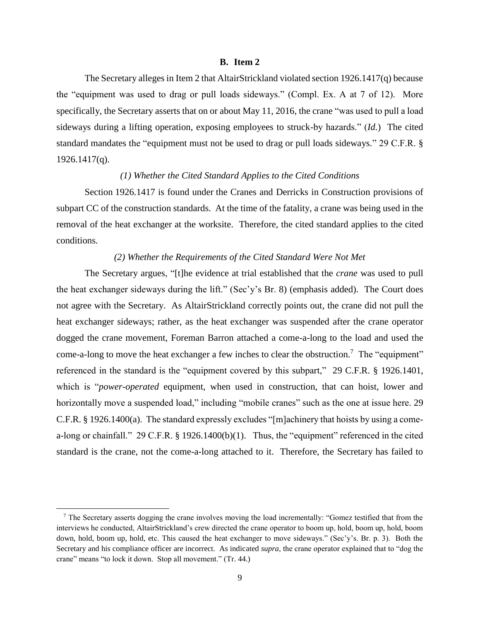#### **B. Item 2**

The Secretary alleges in Item 2 that AltairStrickland violated section 1926.1417(q) because the "equipment was used to drag or pull loads sideways." (Compl. Ex. A at 7 of 12). More specifically, the Secretary asserts that on or about May 11, 2016, the crane "was used to pull a load sideways during a lifting operation, exposing employees to struck-by hazards." (*Id.*) The cited standard mandates the "equipment must not be used to drag or pull loads sideways." 29 C.F.R. § 1926.1417(q).

#### *(1) Whether the Cited Standard Applies to the Cited Conditions*

Section 1926.1417 is found under the Cranes and Derricks in Construction provisions of subpart CC of the construction standards. At the time of the fatality, a crane was being used in the removal of the heat exchanger at the worksite. Therefore, the cited standard applies to the cited conditions.

## *(2) Whether the Requirements of the Cited Standard Were Not Met*

The Secretary argues, "[t]he evidence at trial established that the *crane* was used to pull the heat exchanger sideways during the lift." (Sec'y's Br. 8) (emphasis added). The Court does not agree with the Secretary. As AltairStrickland correctly points out, the crane did not pull the heat exchanger sideways; rather, as the heat exchanger was suspended after the crane operator dogged the crane movement, Foreman Barron attached a come-a-long to the load and used the come-a-long to move the heat exchanger a few inches to clear the obstruction.<sup>7</sup> The "equipment" referenced in the standard is the "equipment covered by this subpart," 29 C.F.R. § 1926.1401, which is "*power-operated* equipment, when used in construction, that can hoist, lower and horizontally move a suspended load," including "mobile cranes" such as the one at issue here. 29 C.F.R. § 1926.1400(a). The standard expressly excludes "[m]achinery that hoists by using a comea-long or chainfall." 29 C.F.R. § 1926.1400(b)(1). Thus, the "equipment" referenced in the cited standard is the crane, not the come-a-long attached to it. Therefore, the Secretary has failed to

l

<sup>7</sup> The Secretary asserts dogging the crane involves moving the load incrementally: "Gomez testified that from the interviews he conducted, AltairStrickland's crew directed the crane operator to boom up, hold, boom up, hold, boom down, hold, boom up, hold, etc. This caused the heat exchanger to move sideways." (Sec'y's. Br. p. 3). Both the Secretary and his compliance officer are incorrect. As indicated *supra*, the crane operator explained that to "dog the crane" means "to lock it down. Stop all movement." (Tr. 44.)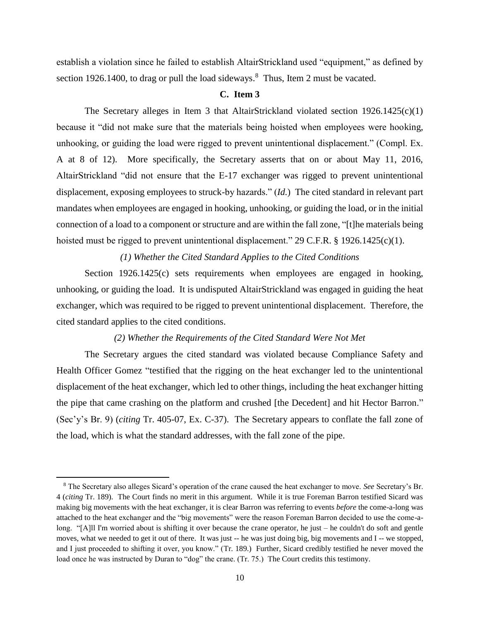establish a violation since he failed to establish AltairStrickland used "equipment," as defined by section 1926.1400, to drag or pull the load sideways.<sup>8</sup> Thus, Item 2 must be vacated.

## **C. Item 3**

The Secretary alleges in Item 3 that AltairStrickland violated section  $1926.1425(c)(1)$ because it "did not make sure that the materials being hoisted when employees were hooking, unhooking, or guiding the load were rigged to prevent unintentional displacement." (Compl. Ex. A at 8 of 12). More specifically, the Secretary asserts that on or about May 11, 2016, AltairStrickland "did not ensure that the E-17 exchanger was rigged to prevent unintentional displacement, exposing employees to struck-by hazards." (*Id.*) The cited standard in relevant part mandates when employees are engaged in hooking, unhooking, or guiding the load, or in the initial connection of a load to a component or structure and are within the fall zone, "[t]he materials being hoisted must be rigged to prevent unintentional displacement." 29 C.F.R. § 1926.1425(c)(1).

# *(1) Whether the Cited Standard Applies to the Cited Conditions*

Section 1926.1425(c) sets requirements when employees are engaged in hooking, unhooking, or guiding the load. It is undisputed AltairStrickland was engaged in guiding the heat exchanger, which was required to be rigged to prevent unintentional displacement. Therefore, the cited standard applies to the cited conditions.

## *(2) Whether the Requirements of the Cited Standard Were Not Met*

The Secretary argues the cited standard was violated because Compliance Safety and Health Officer Gomez "testified that the rigging on the heat exchanger led to the unintentional displacement of the heat exchanger, which led to other things, including the heat exchanger hitting the pipe that came crashing on the platform and crushed [the Decedent] and hit Hector Barron." (Sec'y's Br. 9) (*citing* Tr. 405-07, Ex. C-37). The Secretary appears to conflate the fall zone of the load, which is what the standard addresses, with the fall zone of the pipe.

l

<sup>8</sup> The Secretary also alleges Sicard's operation of the crane caused the heat exchanger to move. *See* Secretary's Br. 4 (*citing* Tr. 189). The Court finds no merit in this argument. While it is true Foreman Barron testified Sicard was making big movements with the heat exchanger, it is clear Barron was referring to events *before* the come-a-long was attached to the heat exchanger and the "big movements" were the reason Foreman Barron decided to use the come-along. "[A]ll I'm worried about is shifting it over because the crane operator, he just – he couldn't do soft and gentle moves, what we needed to get it out of there. It was just -- he was just doing big, big movements and I -- we stopped, and I just proceeded to shifting it over, you know." (Tr. 189.) Further, Sicard credibly testified he never moved the load once he was instructed by Duran to "dog" the crane. (Tr. 75.) The Court credits this testimony.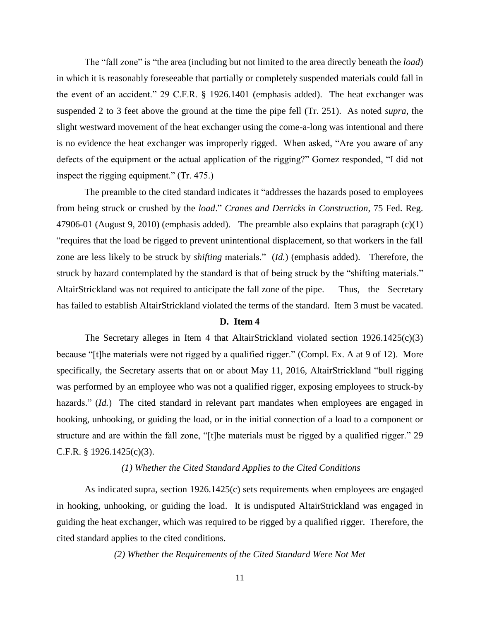The "fall zone" is "the area (including but not limited to the area directly beneath the *load*) in which it is reasonably foreseeable that partially or completely suspended materials could fall in the event of an accident." 29 C.F.R. § 1926.1401 (emphasis added). The heat exchanger was suspended 2 to 3 feet above the ground at the time the pipe fell (Tr. 251). As noted *supra*, the slight westward movement of the heat exchanger using the come-a-long was intentional and there is no evidence the heat exchanger was improperly rigged. When asked, "Are you aware of any defects of the equipment or the actual application of the rigging?" Gomez responded, "I did not inspect the rigging equipment." (Tr. 475.)

The preamble to the cited standard indicates it "addresses the hazards posed to employees from being struck or crushed by the *load*." *Cranes and Derricks in Construction*, 75 Fed. Reg. 47906-01 (August 9, 2010) (emphasis added). The preamble also explains that paragraph (c)(1) "requires that the load be rigged to prevent unintentional displacement, so that workers in the fall zone are less likely to be struck by *shifting* materials." (*Id.*) (emphasis added). Therefore, the struck by hazard contemplated by the standard is that of being struck by the "shifting materials." AltairStrickland was not required to anticipate the fall zone of the pipe. Thus, the Secretary has failed to establish AltairStrickland violated the terms of the standard. Item 3 must be vacated.

#### **D. Item 4**

The Secretary alleges in Item 4 that AltairStrickland violated section  $1926.1425(c)(3)$ because "[t]he materials were not rigged by a qualified rigger." (Compl. Ex. A at 9 of 12). More specifically, the Secretary asserts that on or about May 11, 2016, AltairStrickland "bull rigging was performed by an employee who was not a qualified rigger, exposing employees to struck-by hazards." *(Id.)* The cited standard in relevant part mandates when employees are engaged in hooking, unhooking, or guiding the load, or in the initial connection of a load to a component or structure and are within the fall zone, "[t]he materials must be rigged by a qualified rigger." 29 C.F.R.  $\S$  1926.1425(c)(3).

# *(1) Whether the Cited Standard Applies to the Cited Conditions*

As indicated supra, section 1926.1425(c) sets requirements when employees are engaged in hooking, unhooking, or guiding the load. It is undisputed AltairStrickland was engaged in guiding the heat exchanger, which was required to be rigged by a qualified rigger. Therefore, the cited standard applies to the cited conditions.

*(2) Whether the Requirements of the Cited Standard Were Not Met*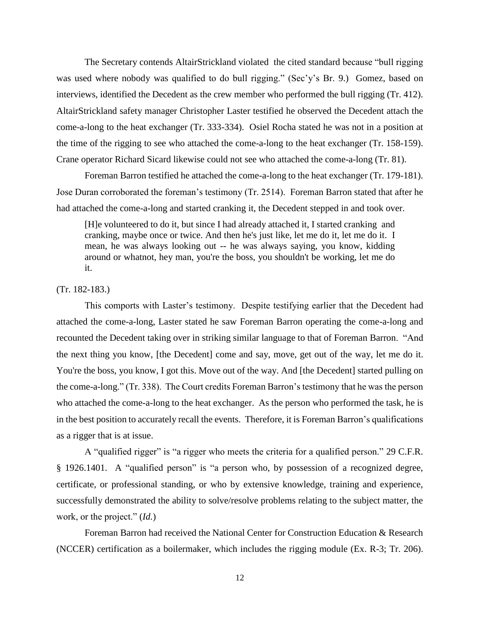The Secretary contends AltairStrickland violated the cited standard because "bull rigging was used where nobody was qualified to do bull rigging." (Sec'y's Br. 9.) Gomez, based on interviews, identified the Decedent as the crew member who performed the bull rigging (Tr. 412). AltairStrickland safety manager Christopher Laster testified he observed the Decedent attach the come-a-long to the heat exchanger (Tr. 333-334). Osiel Rocha stated he was not in a position at the time of the rigging to see who attached the come-a-long to the heat exchanger (Tr. 158-159). Crane operator Richard Sicard likewise could not see who attached the come-a-long (Tr. 81).

Foreman Barron testified he attached the come-a-long to the heat exchanger (Tr. 179-181). Jose Duran corroborated the foreman's testimony (Tr. 2514). Foreman Barron stated that after he had attached the come-a-long and started cranking it, the Decedent stepped in and took over.

[H]e volunteered to do it, but since I had already attached it, I started cranking and cranking, maybe once or twice. And then he's just like, let me do it, let me do it. I mean, he was always looking out -- he was always saying, you know, kidding around or whatnot, hey man, you're the boss, you shouldn't be working, let me do it.

# (Tr. 182-183.)

This comports with Laster's testimony. Despite testifying earlier that the Decedent had attached the come-a-long, Laster stated he saw Foreman Barron operating the come-a-long and recounted the Decedent taking over in striking similar language to that of Foreman Barron. "And the next thing you know, [the Decedent] come and say, move, get out of the way, let me do it. You're the boss, you know, I got this. Move out of the way. And [the Decedent] started pulling on the come-a-long." (Tr. 338). The Court credits Foreman Barron's testimony that he was the person who attached the come-a-long to the heat exchanger. As the person who performed the task, he is in the best position to accurately recall the events. Therefore, it is Foreman Barron's qualifications as a rigger that is at issue.

A "qualified rigger" is "a rigger who meets the criteria for a qualified person." 29 C.F.R. § 1926.1401. A "qualified person" is "a person who, by possession of a recognized degree, certificate, or professional standing, or who by extensive knowledge, training and experience, successfully demonstrated the ability to solve/resolve problems relating to the subject matter, the work, or the project." (*Id.*)

Foreman Barron had received the National Center for Construction Education & Research (NCCER) certification as a boilermaker, which includes the rigging module (Ex. R-3; Tr. 206).